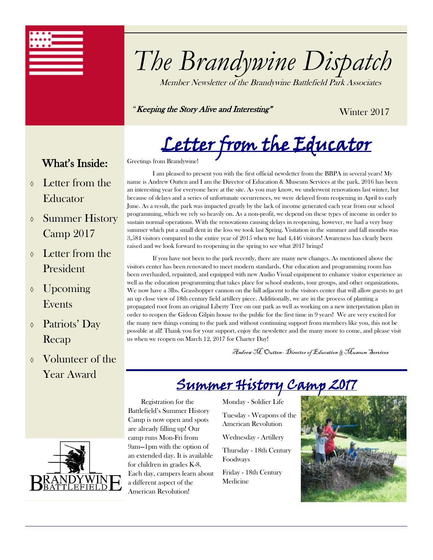

# *The Brandywine Dispatch*

Member Newsletter of the Brandywine Battlefield Park Associates

"Keeping the Story Alive and Interesting"

Winter 2017

Letter from the Educator

## What's Inside:

- Letter from the Educator
- Summer History Camp 2017
- Letter from the President
- $\lozenge$  Upcoming Events
- Patriots' Day Recap
- Volunteer of the Year Award

Greetings from Brandywine!

I am pleased to present you with the first official newsletter from the BBPA in several years! My name is Andrew Outten and I am the Director of Education & Museum Services at the park. 2016 has been an interesting year for everyone here at the site. As you may know, we underwent renovations last winter, but because of delays and a series of unfortunate occurrences, we were delayed from reopening in April to early June. As a result, the park was impacted greatly by the lack of income generated each year from our school programming, which we rely so heavily on. As a non-profit, we depend on these types of income in order to sustain normal operations. With the renovations causing delays in reopening, however, we had a very busy summer which put a small dent in the loss we took last Spring. Visitation in the summer and fall months was 3,584 visitors compared to the entire year of 2015 when we had 4,446 visitors! Awareness has clearly been raised and we look forward to reopening in the spring to see what 2017 brings!

If you have not been to the park recently, there are many new changes. As mentioned above the visitors center has been renovated to meet modern standards. Our education and programming room has been overhauled, repainted, and equipped with new Audio Visual equipment to enhance visitor experience as well as the education programming that takes place for school students, tour groups, and other organizations. We now have a 3lbs. Grasshopper cannon on the hill adjacent to the visitors center that will allow guests to get an up close view of 18th century field artillery piece. Additionally, we are in the process of planting a propagated root from an original Liberty Tree on our park as well as working on a new interpretation plan in order to reopen the Gideon Gilpin house to the public for the first time in 9 years! We are very excited for the many new things coming to the park and without continuing support from members like you, this not be possible at all! Thank you for your support, enjoy the newsletter and the many more to come, and please visit us when we reopen on March 12, 2017 for Charter Day!

Andrew M. Outten– Director of Education & Museum Services

# Summer History Camp 2017



 Registration for the Battlefield's Summer History Camp is now open and spots are already filling up! Our camp runs Mon-Fri from 9am—1pm with the option of an extended day. It is available for children in grades K-8. Each day, campers learn about a different aspect of the American Revolution!

Monday - Soldier Life

Tuesday - Weapons of the American Revolution

Wednesday - Artillery

Thursday - 18th Century Foodways

Friday - 18th Century Medicine

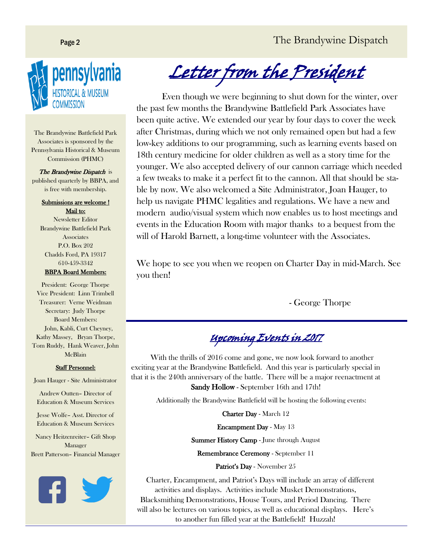### Page 2 The Brandywine Dispatch



The Brandywine Battlefield Park Associates is sponsored by the Pennsylvania Historical & Museum Commission (PHMC)

The Brandywine Dispatch is published quarterly by BBPA, and is free with membership.

> Submissions are welcome ! Mail to:

Newsletter Editor Brandywine Battlefield Park **Associates** P.O. Box 202 Chadds Ford, PA 19317 610-459-3342

#### BBPA Board Members:

President: George Thorpe Vice President: Linn Trimbell Treasurer: Verne Weidman Secretary: Judy Thorpe Board Members: John, Kabli, Curt Cheyney, Kathy Massey, Bryan Thorpe, Tom Ruddy, Hank Weaver, John McBlain

#### Staff Personnel:

Joan Hauger - Site Administrator

Andrew Outten– Director of Education & Museum Services

Jesse Wolfe– Asst. Director of Education & Museum Services

Nancy Heitzenreiter– Gift Shop Manager Brett Patterson– Financial Manager



Letter from the President

Even though we were beginning to shut down for the winter, over the past few months the Brandywine Battlefield Park Associates have been quite active. We extended our year by four days to cover the week after Christmas, during which we not only remained open but had a few low-key additions to our programming, such as learning events based on 18th century medicine for older children as well as a story time for the younger. We also accepted delivery of our cannon carriage which needed a few tweaks to make it a perfect fit to the cannon. All that should be stable by now. We also welcomed a Site Administrator, Joan Hauger, to help us navigate PHMC legalities and regulations. We have a new and modern audio/visual system which now enables us to host meetings and events in the Education Room with major thanks to a bequest from the will of Harold Barnett, a long-time volunteer with the Associates.

We hope to see you when we reopen on Charter Day in mid-March. See you then!

- George Thorpe

Upcoming Events in 2017

 With the thrills of 2016 come and gone, we now look forward to another exciting year at the Brandywine Battlefield. And this year is particularly special in that it is the 240th anniversary of the battle. There will be a major reenactment at Sandy Hollow - September 16th and 17th!

Additionally the Brandywine Battlefield will be hosting the following events:

Charter Day - March 12

Encampment Day - May 13

Summer History Camp - June through August

Remembrance Ceremony - September 11

Patriot's Day - November 25

 Charter, Encampment, and Patriot's Days will include an array of different activities and displays. Activities include Musket Demonstrations, Blacksmithing Demonstrations, House Tours, and Period Dancing. There will also be lectures on various topics, as well as educational displays. Here's to another fun filled year at the Battlefield! Huzzah!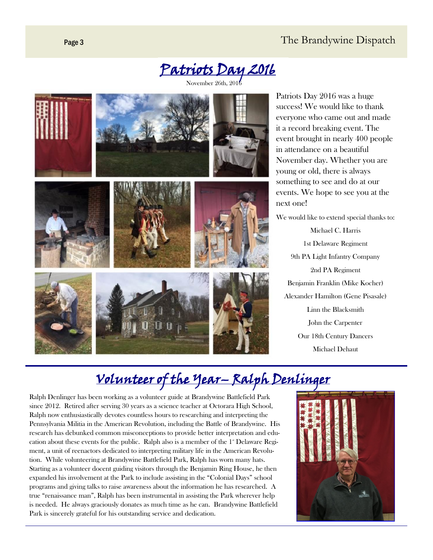### Page 3 The Brandywine Dispatch



November 26th, 2016



Patriots Day 2016 was a huge success! We would like to thank everyone who came out and made it a record breaking event. The event brought in nearly 400 people in attendance on a beautiful November day. Whether you are young or old, there is always something to see and do at our events. We hope to see you at the next one!

We would like to extend special thanks to: Michael C. Harris 1st Delaware Regiment 9th PA Light Infantry Company 2nd PA Regiment Benjamin Franklin (Mike Kocher) Alexander Hamilton (Gene Pisasale) Linn the Blacksmith John the Carpenter Our 18th Century Dancers Michael Dehaut

# Volunteer of the Year– Ralph Denlinger

Ralph Denlinger has been working as a volunteer guide at Brandywine Battlefield Park since 2012. Retired after serving 30 years as a science teacher at Octorara High School, Ralph now enthusiastically devotes countless hours to researching and interpreting the Pennsylvania Militia in the American Revolution, including the Battle of Brandywine. His research has debunked common misconceptions to provide better interpretation and education about these events for the public. Ralph also is a member of the  $1^*$  Delaware Regiment, a unit of reenactors dedicated to interpreting military life in the American Revolution. While volunteering at Brandywine Battlefield Park, Ralph has worn many hats. Starting as a volunteer docent guiding visitors through the Benjamin Ring House, he then expanded his involvement at the Park to include assisting in the "Colonial Days" school programs and giving talks to raise awareness about the information he has researched. A true "renaissance man", Ralph has been instrumental in assisting the Park wherever help is needed. He always graciously donates as much time as he can. Brandywine Battlefield Park is sincerely grateful for his outstanding service and dedication.